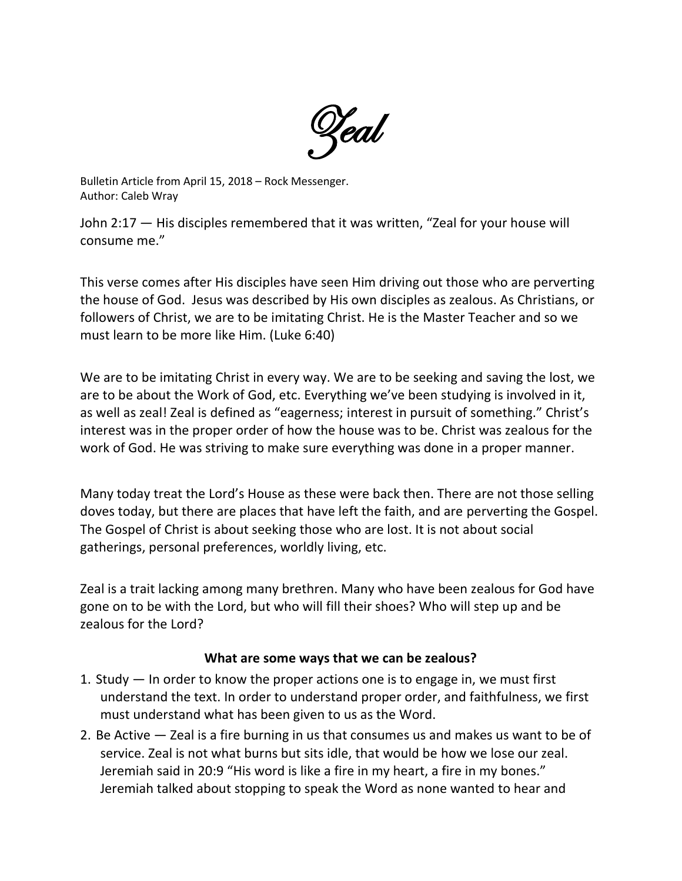

Bulletin Article from April 15, 2018 – Rock Messenger. Author: Caleb Wray

John 2:17 — His disciples remembered that it was written, "Zeal for your house will consume me."

This verse comes after His disciples have seen Him driving out those who are perverting the house of God. Jesus was described by His own disciples as zealous. As Christians, or followers of Christ, we are to be imitating Christ. He is the Master Teacher and so we must learn to be more like Him. (Luke 6:40)

We are to be imitating Christ in every way. We are to be seeking and saving the lost, we are to be about the Work of God, etc. Everything we've been studying is involved in it, as well as zeal! Zeal is defined as "eagerness; interest in pursuit of something." Christ's interest was in the proper order of how the house was to be. Christ was zealous for the work of God. He was striving to make sure everything was done in a proper manner.

Many today treat the Lord's House as these were back then. There are not those selling doves today, but there are places that have left the faith, and are perverting the Gospel. The Gospel of Christ is about seeking those who are lost. It is not about social gatherings, personal preferences, worldly living, etc.

Zeal is a trait lacking among many brethren. Many who have been zealous for God have gone on to be with the Lord, but who will fill their shoes? Who will step up and be zealous for the Lord?

## **What are some ways that we can be zealous?**

- 1. Study In order to know the proper actions one is to engage in, we must first understand the text. In order to understand proper order, and faithfulness, we first must understand what has been given to us as the Word.
- 2. Be Active Zeal is a fire burning in us that consumes us and makes us want to be of service. Zeal is not what burns but sits idle, that would be how we lose our zeal. Jeremiah said in 20:9 "His word is like a fire in my heart, a fire in my bones." Jeremiah talked about stopping to speak the Word as none wanted to hear and